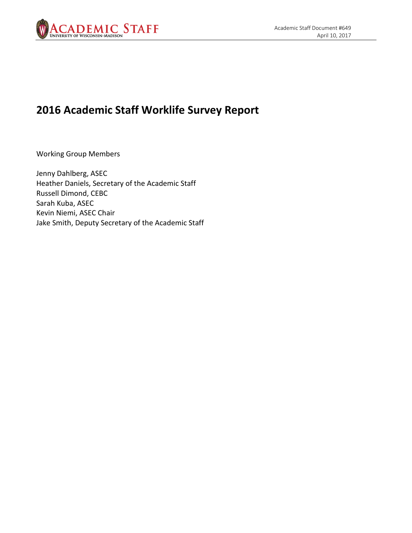

# **2016 Academic Staff Worklife Survey Report**

Working Group Members

Jenny Dahlberg, ASEC Heather Daniels, Secretary of the Academic Staff Russell Dimond, CEBC Sarah Kuba, ASEC Kevin Niemi, ASEC Chair Jake Smith, Deputy Secretary of the Academic Staff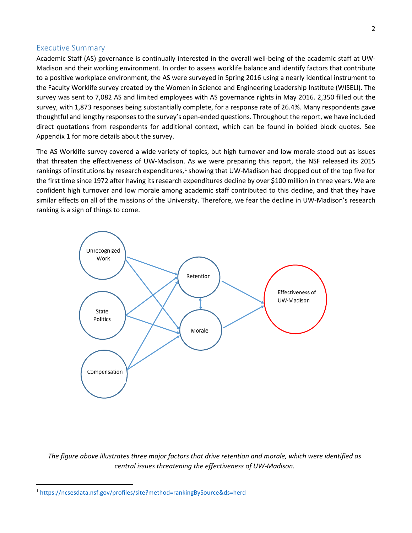#### Executive Summary

Academic Staff (AS) governance is continually interested in the overall well-being of the academic staff at UW-Madison and their working environment. In order to assess worklife balance and identify factors that contribute to a positive workplace environment, the AS were surveyed in Spring 2016 using a nearly identical instrument to the Faculty Worklife survey created by the Women in Science and Engineering Leadership Institute (WISELI). The survey was sent to 7,082 AS and limited employees with AS governance rights in May 2016. 2,350 filled out the survey, with 1,873 responses being substantially complete, for a response rate of 26.4%. Many respondents gave thoughtful and lengthy responses to the survey's open-ended questions. Throughout the report, we have included direct quotations from respondents for additional context, which can be found in bolded block quotes. See Appendix 1 for more details about the survey.

The AS Worklife survey covered a wide variety of topics, but high turnover and low morale stood out as issues that threaten the effectiveness of UW-Madison. As we were preparing this report, the NSF released its 2015 rankings of institutions by research expenditures, $1$  showing that UW-Madison had dropped out of the top five for the first time since 1972 after having its research expenditures decline by over \$100 million in three years. We are confident high turnover and low morale among academic staff contributed to this decline, and that they have similar effects on all of the missions of the University. Therefore, we fear the decline in UW-Madison's research ranking is a sign of things to come.



*The figure above illustrates three major factors that drive retention and morale, which were identified as central issues threatening the effectiveness of UW-Madison.*

<span id="page-1-0"></span> <sup>1</sup> <https://ncsesdata.nsf.gov/profiles/site?method=rankingBySource&ds=herd>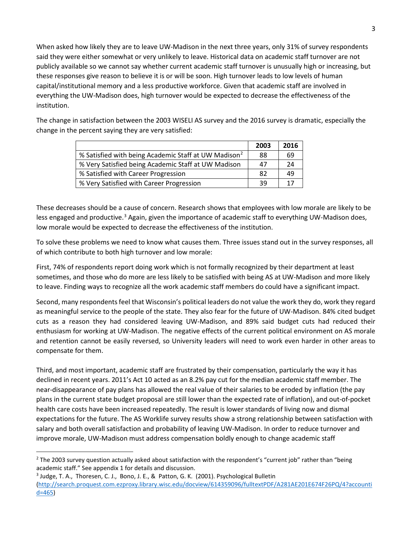When asked how likely they are to leave UW-Madison in the next three years, only 31% of survey respondents said they were either somewhat or very unlikely to leave. Historical data on academic staff turnover are not publicly available so we cannot say whether current academic staff turnover is unusually high or increasing, but these responses give reason to believe it is or will be soon. High turnover leads to low levels of human capital/institutional memory and a less productive workforce. Given that academic staff are involved in everything the UW-Madison does, high turnover would be expected to decrease the effectiveness of the institution.

The change in satisfaction between the 2003 WISELI AS survey and the 2016 survey is dramatic, especially the change in the percent saying they are very satisfied:

|                                                                  | 2003 | 2016 |
|------------------------------------------------------------------|------|------|
| % Satisfied with being Academic Staff at UW Madison <sup>2</sup> | 88   | 69   |
| % Very Satisfied being Academic Staff at UW Madison              | 47   | 24   |
| % Satisfied with Career Progression                              | 82   | 49   |
| % Very Satisfied with Career Progression                         | 39   | 17   |

These decreases should be a cause of concern. Research shows that employees with low morale are likely to be less engaged and productive.<sup>[3](#page-2-1)</sup> Again, given the importance of academic staff to everything UW-Madison does, low morale would be expected to decrease the effectiveness of the institution.

To solve these problems we need to know what causes them. Three issues stand out in the survey responses, all of which contribute to both high turnover and low morale:

First, 74% of respondents report doing work which is not formally recognized by their department at least sometimes, and those who do more are less likely to be satisfied with being AS at UW-Madison and more likely to leave. Finding ways to recognize all the work academic staff members do could have a significant impact.

Second, many respondents feel that Wisconsin's political leaders do not value the work they do, work they regard as meaningful service to the people of the state. They also fear for the future of UW-Madison. 84% cited budget cuts as a reason they had considered leaving UW-Madison, and 89% said budget cuts had reduced their enthusiasm for working at UW-Madison. The negative effects of the current political environment on AS morale and retention cannot be easily reversed, so University leaders will need to work even harder in other areas to compensate for them.

Third, and most important, academic staff are frustrated by their compensation, particularly the way it has declined in recent years. 2011's Act 10 acted as an 8.2% pay cut for the median academic staff member. The near-disappearance of pay plans has allowed the real value of their salaries to be eroded by inflation (the pay plans in the current state budget proposal are still lower than the expected rate of inflation), and out-of-pocket health care costs have been increased repeatedly. The result is lower standards of living now and dismal expectations for the future. The AS Worklife survey results show a strong relationship between satisfaction with salary and both overall satisfaction and probability of leaving UW-Madison. In order to reduce turnover and improve morale, UW-Madison must address compensation boldly enough to change academic staff

<span id="page-2-1"></span><sup>3</sup> Judge, T. A., Thoresen, C. J., Bono, J. E., & Patton, G. K. (2001). Psychological Bulletin [\(http://search.proquest.com.ezproxy.library.wisc.edu/docview/614359096/fulltextPDF/A281AE201E674F26PQ/4?accounti](http://search.proquest.com.ezproxy.library.wisc.edu/docview/614359096/fulltextPDF/A281AE201E674F26PQ/4?accountid=465) [d=465\)](http://search.proquest.com.ezproxy.library.wisc.edu/docview/614359096/fulltextPDF/A281AE201E674F26PQ/4?accountid=465)

<span id="page-2-0"></span> $2$  The 2003 survey question actually asked about satisfaction with the respondent's "current job" rather than "being academic staff." See appendix 1 for details and discussion.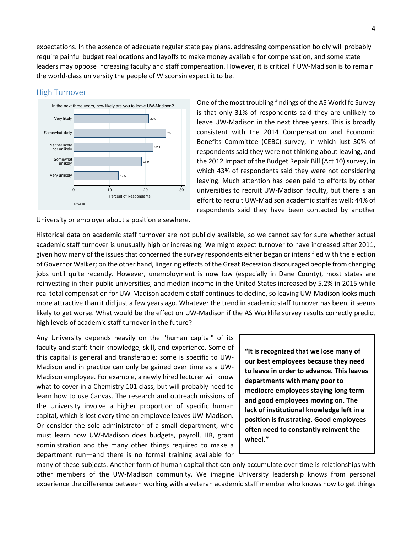expectations. In the absence of adequate regular state pay plans, addressing compensation boldly will probably require painful budget reallocations and layoffs to make money available for compensation, and some state leaders may oppose increasing faculty and staff compensation. However, it is critical if UW-Madison is to remain the world-class university the people of Wisconsin expect it to be.

#### High Turnover



University or employer about a position elsewhere.

One of the most troubling findings of the AS Worklife Survey is that only 31% of respondents said they are unlikely to leave UW-Madison in the next three years. This is broadly consistent with the 2014 Compensation and Economic Benefits Committee (CEBC) survey, in which just 30% of respondents said they were not thinking about leaving, and the 2012 Impact of the Budget Repair Bill (Act 10) survey, in which 43% of respondents said they were not considering leaving. Much attention has been paid to efforts by other universities to recruit UW-Madison faculty, but there is an effort to recruit UW-Madison academic staff as well: 44% of respondents said they have been contacted by another

Historical data on academic staff turnover are not publicly available, so we cannot say for sure whether actual academic staff turnover is unusually high or increasing. We might expect turnover to have increased after 2011, given how many of the issues that concerned the survey respondents either began or intensified with the election of Governor Walker; on the other hand, lingering effects of the Great Recession discouraged people from changing jobs until quite recently. However, unemployment is now low (especially in Dane County), most states are reinvesting in their public universities, and median income in the United States increased by 5.2% in 2015 while real total compensation for UW-Madison academic staff continues to decline, so leaving UW-Madison looks much more attractive than it did just a few years ago. Whatever the trend in academic staff turnover has been, it seems likely to get worse. What would be the effect on UW-Madison if the AS Worklife survey results correctly predict high levels of academic staff turnover in the future?

Any University depends heavily on the "human capital" of its faculty and staff: their knowledge, skill, and experience. Some of this capital is general and transferable; some is specific to UW-Madison and in practice can only be gained over time as a UW-Madison employee. For example, a newly hired lecturer will know what to cover in a Chemistry 101 class, but will probably need to learn how to use Canvas. The research and outreach missions of the University involve a higher proportion of specific human capital, which is lost every time an employee leaves UW-Madison. Or consider the sole administrator of a small department, who must learn how UW-Madison does budgets, payroll, HR, grant administration and the many other things required to make a department run—and there is no formal training available for

**"It is recognized that we lose many of our best employees because they need to leave in order to advance. This leaves departments with many poor to mediocre employees staying long term and good employees moving on. The lack of institutional knowledge left in a position is frustrating. Good employees often need to constantly reinvent the wheel."**

many of these subjects. Another form of human capital that can only accumulate over time is relationships with other members of the UW-Madison community. We imagine University leadership knows from personal experience the difference between working with a veteran academic staff member who knows how to get things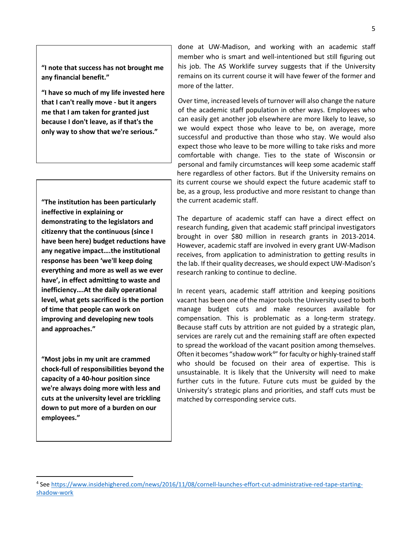**"I note that success has not brought me any financial benefit."**

**"I have so much of my life invested here that I can't really move - but it angers me that I am taken for granted just because I don't leave, as if that's the only way to show that we're serious."**

**"The institution has been particularly ineffective in explaining or demonstrating to the legislators and citizenry that the continuous (since I have been here) budget reductions have any negative impact….the institutional response has been 'we'll keep doing everything and more as well as we ever have', in effect admitting to waste and inefficiency….At the daily operational level, what gets sacrificed is the portion of time that people can work on improving and developing new tools and approaches."**

**"Most jobs in my unit are crammed chock-full of responsibilities beyond the capacity of a 40-hour position since we're always doing more with less and cuts at the university level are trickling down to put more of a burden on our employees."**

done at UW-Madison, and working with an academic staff member who is smart and well-intentioned but still figuring out his job. The AS Worklife survey suggests that if the University remains on its current course it will have fewer of the former and more of the latter.

Over time, increased levels of turnover will also change the nature of the academic staff population in other ways. Employees who can easily get another job elsewhere are more likely to leave, so we would expect those who leave to be, on average, more successful and productive than those who stay. We would also expect those who leave to be more willing to take risks and more comfortable with change. Ties to the state of Wisconsin or personal and family circumstances will keep some academic staff here regardless of other factors. But if the University remains on its current course we should expect the future academic staff to be, as a group, less productive and more resistant to change than the current academic staff.

The departure of academic staff can have a direct effect on research funding, given that academic staff principal investigators brought in over \$80 million in research grants in 2013-2014. However, academic staff are involved in every grant UW-Madison receives, from application to administration to getting results in the lab. If their quality decreases, we should expect UW-Madison's research ranking to continue to decline.

In recent years, academic staff attrition and keeping positions vacant has been one of the major tools the University used to both manage budget cuts and make resources available for compensation. This is problematic as a long-term strategy. Because staff cuts by attrition are not guided by a strategic plan, services are rarely cut and the remaining staff are often expected to spread the workload of the vacant position among themselves. Often it becomes "shadow work<sup>[4](#page-4-0)</sup>" for faculty or highly-trained staff who should be focused on their area of expertise. This is unsustainable. It is likely that the University will need to make further cuts in the future. Future cuts must be guided by the University's strategic plans and priorities, and staff cuts must be matched by corresponding service cuts.

<span id="page-4-0"></span> <sup>4</sup> See [https://www.insidehighered.com/news/2016/11/08/cornell-launches-effort-cut-administrative-red-tape-starting](https://www.insidehighered.com/news/2016/11/08/cornell-launches-effort-cut-administrative-red-tape-starting-shadow-work)[shadow-work](https://www.insidehighered.com/news/2016/11/08/cornell-launches-effort-cut-administrative-red-tape-starting-shadow-work)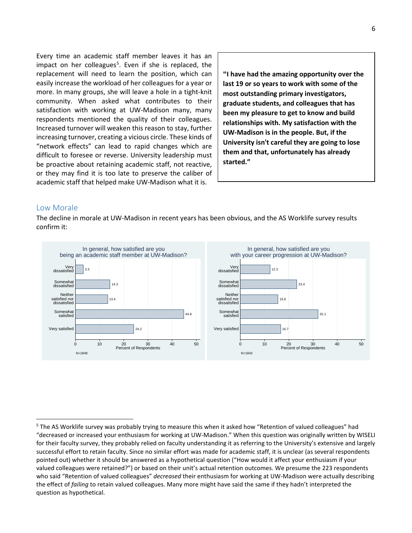Every time an academic staff member leaves it has an impact on her colleagues<sup>[5](#page-5-0)</sup>. Even if she is replaced, the replacement will need to learn the position, which can easily increase the workload of her colleagues for a year or more. In many groups, she will leave a hole in a tight-knit community. When asked what contributes to their satisfaction with working at UW-Madison many, many respondents mentioned the quality of their colleagues. Increased turnover will weaken this reason to stay, further increasing turnover, creating a vicious circle. These kinds of "network effects" can lead to rapid changes which are difficult to foresee or reverse. University leadership must be proactive about retaining academic staff, not reactive, or they may find it is too late to preserve the caliber of academic staff that helped make UW-Madison what it is.

**"I have had the amazing opportunity over the last 19 or so years to work with some of the most outstanding primary investigators, graduate students, and colleagues that has been my pleasure to get to know and build relationships with. My satisfaction with the UW-Madison is in the people. But, if the University isn't careful they are going to lose them and that, unfortunately has already started."**

#### Low Morale

The decline in morale at UW-Madison in recent years has been obvious, and the AS Worklife survey results confirm it:



<span id="page-5-0"></span> <sup>5</sup> The AS Worklife survey was probably trying to measure this when it asked how "Retention of valued colleagues" had "decreased or increased your enthusiasm for working at UW-Madison." When this question was originally written by WISELI for their faculty survey, they probably relied on faculty understanding it as referring to the University's extensive and largely successful effort to retain faculty. Since no similar effort was made for academic staff, it is unclear (as several respondents pointed out) whether it should be answered as a hypothetical question ("How would it affect your enthusiasm if your valued colleagues were retained?") or based on their unit's actual retention outcomes. We presume the 223 respondents who said "Retention of valued colleagues" *decreased* their enthusiasm for working at UW-Madison were actually describing the effect of *failing* to retain valued colleagues. Many more might have said the same if they hadn't interpreted the question as hypothetical.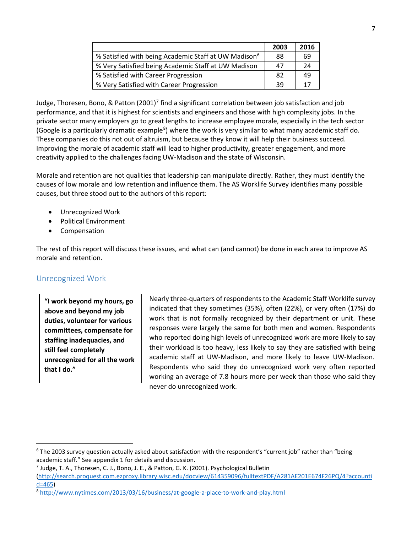|                                                                  | 2003 | 2016 |
|------------------------------------------------------------------|------|------|
| % Satisfied with being Academic Staff at UW Madison <sup>6</sup> | 88   | 69   |
| % Very Satisfied being Academic Staff at UW Madison              | 47   | 24   |
| % Satisfied with Career Progression                              | 82   | 49   |
| % Very Satisfied with Career Progression                         | 39   | 17   |

Judge, Thoresen, Bono, & Patton (2001)<sup>7</sup> find a significant correlation between job satisfaction and job performance, and that it is highest for scientists and engineers and those with high complexity jobs. In the private sector many employers go to great lengths to increase employee morale, especially in the tech sector (Google is a particularly dramatic example<sup>[8](#page-6-2)</sup>) where the work is very similar to what many academic staff do. These companies do this not out of altruism, but because they know it will help their business succeed. Improving the morale of academic staff will lead to higher productivity, greater engagement, and more creativity applied to the challenges facing UW-Madison and the state of Wisconsin.

Morale and retention are not qualities that leadership can manipulate directly. Rather, they must identify the causes of low morale and low retention and influence them. The AS Worklife Survey identifies many possible causes, but three stood out to the authors of this report:

- Unrecognized Work
- Political Environment
- **Compensation**

The rest of this report will discuss these issues, and what can (and cannot) be done in each area to improve AS morale and retention.

#### Unrecognized Work

**"I work beyond my hours, go above and beyond my job duties, volunteer for various committees, compensate for staffing inadequacies, and still feel completely unrecognized for all the work that I do."**

Nearly three-quarters of respondents to the Academic Staff Worklife survey indicated that they sometimes (35%), often (22%), or very often (17%) do work that is not formally recognized by their department or unit. These responses were largely the same for both men and women. Respondents who reported doing high levels of unrecognized work are more likely to say their workload is too heavy, less likely to say they are satisfied with being academic staff at UW-Madison, and more likely to leave UW-Madison. Respondents who said they do unrecognized work very often reported working an average of 7.8 hours more per week than those who said they never do unrecognized work.

<span id="page-6-0"></span><sup>&</sup>lt;sup>6</sup> The 2003 survey question actually asked about satisfaction with the respondent's "current job" rather than "being academic staff." See appendix 1 for details and discussion.

<span id="page-6-1"></span><sup>&</sup>lt;sup>7</sup> Judge, T. A., Thoresen, C. J., Bono, J. E., & Patton, G. K. (2001). Psychological Bulletin

[<sup>\(</sup>http://search.proquest.com.ezproxy.library.wisc.edu/docview/614359096/fulltextPDF/A281AE201E674F26PQ/4?accounti](http://search.proquest.com.ezproxy.library.wisc.edu/docview/614359096/fulltextPDF/A281AE201E674F26PQ/4?accountid=465) [d=465\)](http://search.proquest.com.ezproxy.library.wisc.edu/docview/614359096/fulltextPDF/A281AE201E674F26PQ/4?accountid=465)

<span id="page-6-2"></span><sup>8</sup> <http://www.nytimes.com/2013/03/16/business/at-google-a-place-to-work-and-play.html>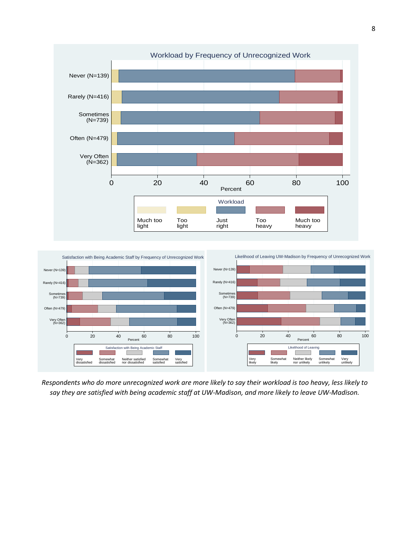



*Respondents who do more unrecognized work are more likely to say their workload is too heavy, less likely to say they are satisfied with being academic staff at UW-Madison, and more likely to leave UW-Madison.*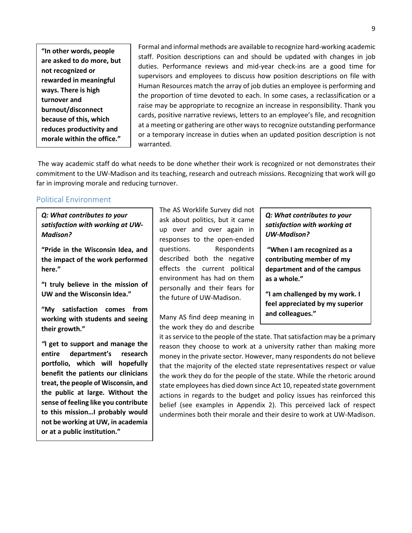**"In other words, people are asked to do more, but not recognized or rewarded in meaningful ways. There is high turnover and burnout/disconnect because of this, which reduces productivity and morale within the office."**

Formal and informal methods are available to recognize hard-working academic staff. Position descriptions can and should be updated with changes in job duties. Performance reviews and mid-year check-ins are a good time for supervisors and employees to discuss how position descriptions on file with Human Resources match the array of job duties an employee is performing and the proportion of time devoted to each. In some cases, a reclassification or a raise may be appropriate to recognize an increase in responsibility. Thank you cards, positive narrative reviews, letters to an employee's file, and recognition at a meeting or gathering are other ways to recognize outstanding performance or a temporary increase in duties when an updated position description is not warranted.

The way academic staff do what needs to be done whether their work is recognized or not demonstrates their commitment to the UW-Madison and its teaching, research and outreach missions. Recognizing that work will go far in improving morale and reducing turnover.

#### Political Environment

*Q: What contributes to your satisfaction with working at UW-Madison?*

**"Pride in the Wisconsin Idea, and the impact of the work performed here."**

**"I truly believe in the mission of UW and the Wisconsin Idea."**

**"My satisfaction comes from working with students and seeing their growth."**

*"***I get to support and manage the entire department's research portfolio, which will hopefully benefit the patients our clinicians treat, the people of Wisconsin, and the public at large. Without the sense of feeling like you contribute to this mission…I probably would not be working at UW, in academia or at a public institution."**

The AS Worklife Survey did not ask about politics, but it came up over and over again in responses to the open-ended questions. Respondents described both the negative effects the current political environment has had on them personally and their fears for the future of UW-Madison.

Many AS find deep meaning in the work they do and describe

#### *Q: What contributes to your satisfaction with working at UW-Madison?*

**"When I am recognized as a contributing member of my department and of the campus as a whole."**

**"I am challenged by my work. I feel appreciated by my superior and colleagues."**

it as service to the people of the state. That satisfaction may be a primary reason they choose to work at a university rather than making more money in the private sector. However, many respondents do not believe that the majority of the elected state representatives respect or value the work they do for the people of the state. While the rhetoric around state employees has died down since Act 10, repeated state government actions in regards to the budget and policy issues has reinforced this belief (see examples in Appendix 2). This perceived lack of respect undermines both their morale and their desire to work at UW-Madison.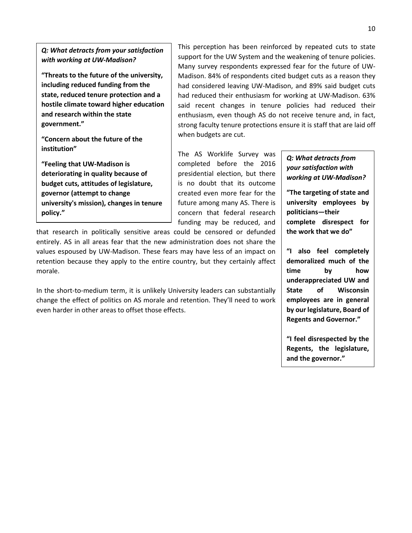*Q: What detracts from your satisfaction with working at UW-Madison?*

**"Threats to the future of the university, including reduced funding from the state, reduced tenure protection and a hostile climate toward higher education and research within the state government."**

**"Concern about the future of the institution"**

**"Feeling that UW-Madison is deteriorating in quality because of budget cuts, attitudes of legislature, governor (attempt to change university's mission), changes in tenure policy."**

This perception has been reinforced by repeated cuts to state support for the UW System and the weakening of tenure policies. Many survey respondents expressed fear for the future of UW-Madison. 84% of respondents cited budget cuts as a reason they had considered leaving UW-Madison, and 89% said budget cuts had reduced their enthusiasm for working at UW-Madison. 63% said recent changes in tenure policies had reduced their enthusiasm, even though AS do not receive tenure and, in fact, strong faculty tenure protections ensure it is staff that are laid off when budgets are cut.

The AS Worklife Survey was completed before the 2016 presidential election, but there is no doubt that its outcome created even more fear for the future among many AS. There is concern that federal research funding may be reduced, and

that research in politically sensitive areas could be censored or defunded entirely. AS in all areas fear that the new administration does not share the values espoused by UW-Madison. These fears may have less of an impact on retention because they apply to the entire country, but they certainly affect morale.

In the short-to-medium term, it is unlikely University leaders can substantially change the effect of politics on AS morale and retention. They'll need to work even harder in other areas to offset those effects.

#### *Q: What detracts from your satisfaction with working at UW-Madison?*

**"The targeting of state and university employees by politicians—their complete disrespect for the work that we do"**

**"I also feel completely demoralized much of the time by how underappreciated UW and State of Wisconsin employees are in general by our legislature, Board of Regents and Governor."**

**"I feel disrespected by the Regents, the legislature, and the governor."**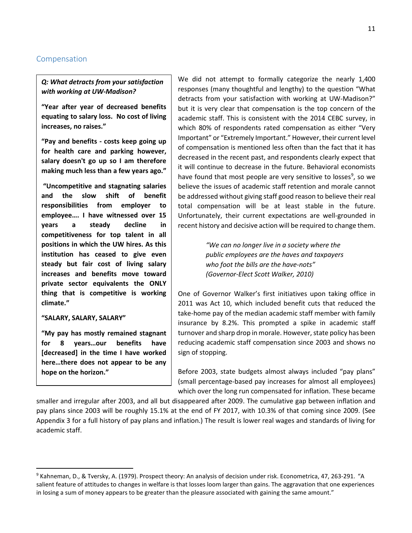#### Compensation

*Q: What detracts from your satisfaction with working at UW-Madison?*

**"Year after year of decreased benefits equating to salary loss. No cost of living increases, no raises."**

**"Pay and benefits - costs keep going up for health care and parking however, salary doesn't go up so I am therefore making much less than a few years ago."**

**"Uncompetitive and stagnating salaries and the slow shift of benefit responsibilities from employer to employee…. I have witnessed over 15 years a steady decline in competitiveness for top talent in all positions in which the UW hires. As this institution has ceased to give even steady but fair cost of living salary increases and benefits move toward private sector equivalents the ONLY thing that is competitive is working climate."**

#### **"SALARY, SALARY, SALARY"**

**"My pay has mostly remained stagnant for 8 years…our benefits have [decreased] in the time I have worked here…there does not appear to be any hope on the horizon."**

We did not attempt to formally categorize the nearly 1,400 responses (many thoughtful and lengthy) to the question "What detracts from your satisfaction with working at UW-Madison?" but it is very clear that compensation is the top concern of the academic staff. This is consistent with the 2014 CEBC survey, in which 80% of respondents rated compensation as either "Very Important" or "Extremely Important." However, their current level of compensation is mentioned less often than the fact that it has decreased in the recent past, and respondents clearly expect that it will continue to decrease in the future. Behavioral economists have found that most people are very sensitive to losses<sup>[9](#page-10-0)</sup>, so we believe the issues of academic staff retention and morale cannot be addressed without giving staff good reason to believe their real total compensation will be at least stable in the future. Unfortunately, their current expectations are well-grounded in recent history and decisive action will be required to change them.

> *"We can no longer live in a society where the public employees are the haves and taxpayers who foot the bills are the have-nots" (Governor-Elect Scott Walker, 2010)*

One of Governor Walker's first initiatives upon taking office in 2011 was Act 10, which included benefit cuts that reduced the take-home pay of the median academic staff member with family insurance by 8.2%. This prompted a spike in academic staff turnover and sharp drop in morale. However, state policy has been reducing academic staff compensation since 2003 and shows no sign of stopping.

Before 2003, state budgets almost always included "pay plans" (small percentage-based pay increases for almost all employees) which over the long run compensated for inflation. These became

smaller and irregular after 2003, and all but disappeared after 2009. The cumulative gap between inflation and pay plans since 2003 will be roughly 15.1% at the end of FY 2017, with 10.3% of that coming since 2009. (See Appendix 3 for a full history of pay plans and inflation.) The result is lower real wages and standards of living for academic staff.

<span id="page-10-0"></span> <sup>9</sup> Kahneman, D., & Tversky, A. (1979). Prospect theory: An analysis of decision under risk. Econometrica, 47, 263-291. "A salient feature of attitudes to changes in welfare is that losses loom larger than gains. The aggravation that one experiences in losing a sum of money appears to be greater than the pleasure associated with gaining the same amount."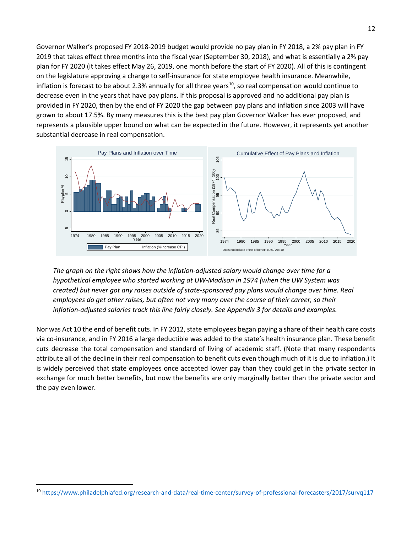Governor Walker's proposed FY 2018-2019 budget would provide no pay plan in FY 2018, a 2% pay plan in FY 2019 that takes effect three months into the fiscal year (September 30, 2018), and what is essentially a 2% pay plan for FY 2020 (it takes effect May 26, 2019, one month before the start of FY 2020). All of this is contingent on the legislature approving a change to self-insurance for state employee health insurance. Meanwhile, inflation is forecast to be about 2.3% annually for all three years<sup>10</sup>, so real compensation would continue to decrease even in the years that have pay plans. If this proposal is approved and no additional pay plan is provided in FY 2020, then by the end of FY 2020 the gap between pay plans and inflation since 2003 will have grown to about 17.5%. By many measures this is the best pay plan Governor Walker has ever proposed, and represents a plausible upper bound on what can be expected in the future. However, it represents yet another substantial decrease in real compensation.



*The graph on the right shows how the inflation-adjusted salary would change over time for a hypothetical employee who started working at UW-Madison in 1974 (when the UW System was created) but never got any raises outside of state-sponsored pay plans would change over time. Real employees do get other raises, but often not very many over the course of their career, so their inflation-adjusted salaries track this line fairly closely. See Appendix 3 for details and examples.*

Nor was Act 10 the end of benefit cuts. In FY 2012, state employees began paying a share of their health care costs via co-insurance, and in FY 2016 a large deductible was added to the state's health insurance plan. These benefit cuts decrease the total compensation and standard of living of academic staff. (Note that many respondents attribute all of the decline in their real compensation to benefit cuts even though much of it is due to inflation.) It is widely perceived that state employees once accepted lower pay than they could get in the private sector in exchange for much better benefits, but now the benefits are only marginally better than the private sector and the pay even lower.

<span id="page-11-0"></span>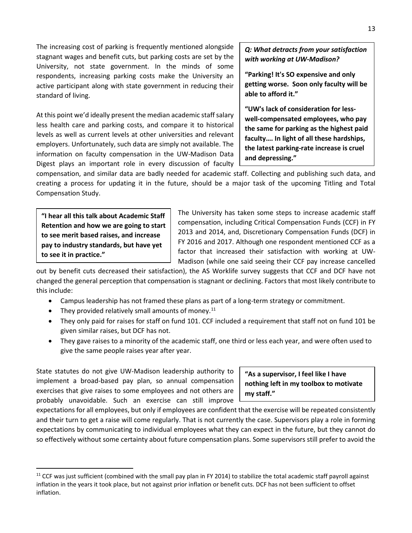The increasing cost of parking is frequently mentioned alongside stagnant wages and benefit cuts, but parking costs are set by the University, not state government. In the minds of some respondents, increasing parking costs make the University an active participant along with state government in reducing their standard of living.

At this point we'd ideally present the median academic staff salary less health care and parking costs, and compare it to historical levels as well as current levels at other universities and relevant employers. Unfortunately, such data are simply not available. The information on faculty compensation in the UW-Madison Data Digest plays an important role in every discussion of faculty

#### *Q: What detracts from your satisfaction with working at UW-Madison?*

**"Parking! It's SO expensive and only getting worse. Soon only faculty will be able to afford it."**

**"UW's lack of consideration for lesswell-compensated employees, who pay the same for parking as the highest paid faculty…. In light of all these hardships, the latest parking-rate increase is cruel and depressing."**

compensation, and similar data are badly needed for academic staff. Collecting and publishing such data, and creating a process for updating it in the future, should be a major task of the upcoming Titling and Total Compensation Study.

**"I hear all this talk about Academic Staff Retention and how we are going to start to see merit based raises, and increase pay to industry standards, but have yet to see it in practice."**

The University has taken some steps to increase academic staff compensation, including Critical Compensation Funds (CCF) in FY 2013 and 2014, and, Discretionary Compensation Funds (DCF) in FY 2016 and 2017. Although one respondent mentioned CCF as a factor that increased their satisfaction with working at UW-Madison (while one said seeing their CCF pay increase cancelled

out by benefit cuts decreased their satisfaction), the AS Worklife survey suggests that CCF and DCF have not changed the general perception that compensation is stagnant or declining. Factors that most likely contribute to this include:

- Campus leadership has not framed these plans as part of a long-term strategy or commitment.
- They provided relatively small amounts of money. $^{11}$  $^{11}$  $^{11}$
- They only paid for raises for staff on fund 101. CCF included a requirement that staff not on fund 101 be given similar raises, but DCF has not.
- They gave raises to a minority of the academic staff, one third or less each year, and were often used to give the same people raises year after year.

State statutes do not give UW-Madison leadership authority to implement a broad-based pay plan, so annual compensation exercises that give raises to some employees and not others are probably unavoidable. Such an exercise can still improve

**"As a supervisor, I feel like I have nothing left in my toolbox to motivate my staff."**

expectations for all employees, but only if employees are confident that the exercise will be repeated consistently and their turn to get a raise will come regularly. That is not currently the case. Supervisors play a role in forming expectations by communicating to individual employees what they can expect in the future, but they cannot do so effectively without some certainty about future compensation plans. Some supervisors still prefer to avoid the

<span id="page-12-0"></span> $11$  CCF was just sufficient (combined with the small pay plan in FY 2014) to stabilize the total academic staff payroll against inflation in the years it took place, but not against prior inflation or benefit cuts. DCF has not been sufficient to offset inflation.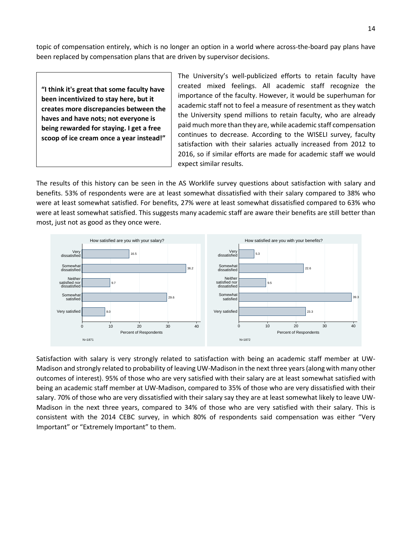topic of compensation entirely, which is no longer an option in a world where across-the-board pay plans have been replaced by compensation plans that are driven by supervisor decisions.

**"I think it's great that some faculty have been incentivized to stay here, but it creates more discrepancies between the haves and have nots; not everyone is being rewarded for staying. I get a free scoop of ice cream once a year instead!"**

The University's well-publicized efforts to retain faculty have created mixed feelings. All academic staff recognize the importance of the faculty. However, it would be superhuman for academic staff not to feel a measure of resentment as they watch the University spend millions to retain faculty, who are already paid much more than they are, while academic staff compensation continues to decrease. According to the WISELI survey, faculty satisfaction with their salaries actually increased from 2012 to 2016, so if similar efforts are made for academic staff we would expect similar results.

The results of this history can be seen in the AS Worklife survey questions about satisfaction with salary and benefits. 53% of respondents were are at least somewhat dissatisfied with their salary compared to 38% who were at least somewhat satisfied. For benefits, 27% were at least somewhat dissatisfied compared to 63% who were at least somewhat satisfied. This suggests many academic staff are aware their benefits are still better than most, just not as good as they once were.



Satisfaction with salary is very strongly related to satisfaction with being an academic staff member at UW-Madison and strongly related to probability of leaving UW-Madison in the next three years (along with many other outcomes of interest). 95% of those who are very satisfied with their salary are at least somewhat satisfied with being an academic staff member at UW-Madison, compared to 35% of those who are very dissatisfied with their salary. 70% of those who are very dissatisfied with their salary say they are at least somewhat likely to leave UW-Madison in the next three years, compared to 34% of those who are very satisfied with their salary. This is consistent with the 2014 CEBC survey, in which 80% of respondents said compensation was either "Very Important" or "Extremely Important" to them.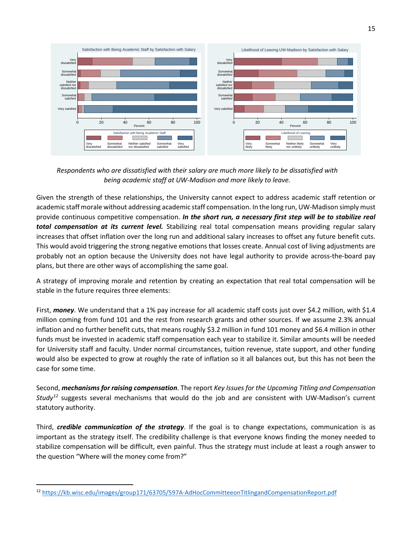

*Respondents who are dissatisfied with their salary are much more likely to be dissatisfied with being academic staff at UW-Madison and more likely to leave.*

Given the strength of these relationships, the University cannot expect to address academic staff retention or academic staff morale without addressing academic staff compensation. In the long run, UW-Madison simply must provide continuous competitive compensation. *In the short run, a necessary first step will be to stabilize real total compensation at its current level.* Stabilizing real total compensation means providing regular salary increases that offset inflation over the long run and additional salary increases to offset any future benefit cuts. This would avoid triggering the strong negative emotions that losses create. Annual cost of living adjustments are probably not an option because the University does not have legal authority to provide across-the-board pay plans, but there are other ways of accomplishing the same goal.

A strategy of improving morale and retention by creating an expectation that real total compensation will be stable in the future requires three elements:

First, *money*. We understand that a 1% pay increase for all academic staff costs just over \$4.2 million, with \$1.4 million coming from fund 101 and the rest from research grants and other sources. If we assume 2.3% annual inflation and no further benefit cuts, that means roughly \$3.2 million in fund 101 money and \$6.4 million in other funds must be invested in academic staff compensation each year to stabilize it. Similar amounts will be needed for University staff and faculty. Under normal circumstances, tuition revenue, state support, and other funding would also be expected to grow at roughly the rate of inflation so it all balances out, but this has not been the case for some time.

Second, *mechanisms for raising compensation*. The report *Key Issues for the Upcoming Titling and Compensation Study[12](#page-14-0)* suggests several mechanisms that would do the job and are consistent with UW-Madison's current statutory authority.

Third, *credible communication of the strategy*. If the goal is to change expectations, communication is as important as the strategy itself. The credibility challenge is that everyone knows finding the money needed to stabilize compensation will be difficult, even painful. Thus the strategy must include at least a rough answer to the question "Where will the money come from?"

<span id="page-14-0"></span> <sup>12</sup> <https://kb.wisc.edu/images/group171/63705/597A-AdHocCommitteeonTitlingandCompensationReport.pdf>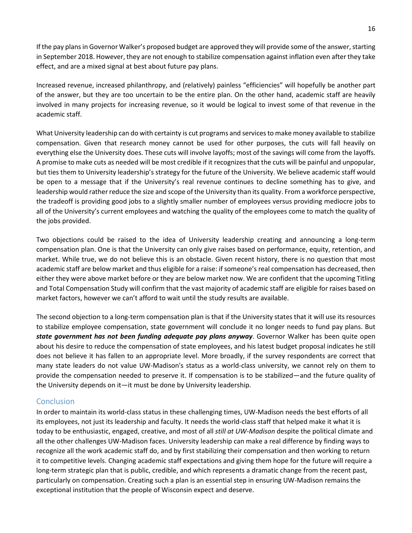If the pay plans in Governor Walker's proposed budget are approved they will provide some of the answer, starting in September 2018. However, they are not enough to stabilize compensation against inflation even after they take effect, and are a mixed signal at best about future pay plans.

Increased revenue, increased philanthropy, and (relatively) painless "efficiencies" will hopefully be another part of the answer, but they are too uncertain to be the entire plan. On the other hand, academic staff are heavily involved in many projects for increasing revenue, so it would be logical to invest some of that revenue in the academic staff.

What University leadership can do with certainty is cut programs and services to make money available to stabilize compensation. Given that research money cannot be used for other purposes, the cuts will fall heavily on everything else the University does. These cuts will involve layoffs; most of the savings will come from the layoffs. A promise to make cuts as needed will be most credible if it recognizes that the cuts will be painful and unpopular, but ties them to University leadership's strategy for the future of the University. We believe academic staff would be open to a message that if the University's real revenue continues to decline something has to give, and leadership would rather reduce the size and scope of the University than its quality. From a workforce perspective, the tradeoff is providing good jobs to a slightly smaller number of employees versus providing mediocre jobs to all of the University's current employees and watching the quality of the employees come to match the quality of the jobs provided.

Two objections could be raised to the idea of University leadership creating and announcing a long-term compensation plan. One is that the University can only give raises based on performance, equity, retention, and market. While true, we do not believe this is an obstacle. Given recent history, there is no question that most academic staff are below market and thus eligible for a raise: if someone's real compensation has decreased, then either they were above market before or they are below market now. We are confident that the upcoming Titling and Total Compensation Study will confirm that the vast majority of academic staff are eligible for raises based on market factors, however we can't afford to wait until the study results are available.

The second objection to a long-term compensation plan is that if the University states that it will use its resources to stabilize employee compensation, state government will conclude it no longer needs to fund pay plans. But *state government has not been funding adequate pay plans anyway*. Governor Walker has been quite open about his desire to reduce the compensation of state employees, and his latest budget proposal indicates he still does not believe it has fallen to an appropriate level. More broadly, if the survey respondents are correct that many state leaders do not value UW-Madison's status as a world-class university, we cannot rely on them to provide the compensation needed to preserve it. If compensation is to be stabilized—and the future quality of the University depends on it—it must be done by University leadership.

#### Conclusion

In order to maintain its world-class status in these challenging times, UW-Madison needs the best efforts of all its employees, not just its leadership and faculty. It needs the world-class staff that helped make it what it is today to be enthusiastic, engaged, creative, and most of all *still at UW-Madison* despite the political climate and all the other challenges UW-Madison faces. University leadership can make a real difference by finding ways to recognize all the work academic staff do, and by first stabilizing their compensation and then working to return it to competitive levels. Changing academic staff expectations and giving them hope for the future will require a long-term strategic plan that is public, credible, and which represents a dramatic change from the recent past, particularly on compensation. Creating such a plan is an essential step in ensuring UW-Madison remains the exceptional institution that the people of Wisconsin expect and deserve.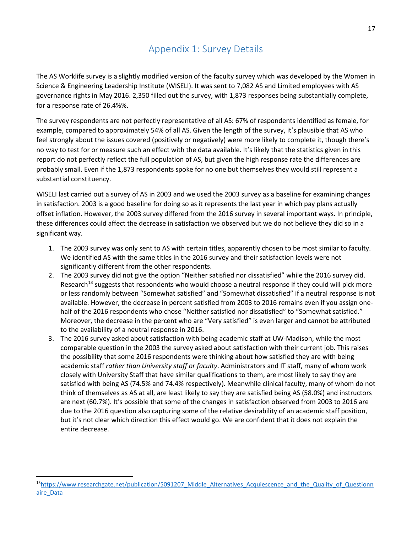### Appendix 1: Survey Details

The AS Worklife survey is a slightly modified version of the faculty survey which was developed by the Women in Science & Engineering Leadership Institute (WISELI). It was sent to 7,082 AS and Limited employees with AS governance rights in May 2016. 2,350 filled out the survey, with 1,873 responses being substantially complete, for a response rate of 26.4%%.

The survey respondents are not perfectly representative of all AS: 67% of respondents identified as female, for example, compared to approximately 54% of all AS. Given the length of the survey, it's plausible that AS who feel strongly about the issues covered (positively or negatively) were more likely to complete it, though there's no way to test for or measure such an effect with the data available. It's likely that the statistics given in this report do not perfectly reflect the full population of AS, but given the high response rate the differences are probably small. Even if the 1,873 respondents spoke for no one but themselves they would still represent a substantial constituency.

WISELI last carried out a survey of AS in 2003 and we used the 2003 survey as a baseline for examining changes in satisfaction. 2003 is a good baseline for doing so as it represents the last year in which pay plans actually offset inflation. However, the 2003 survey differed from the 2016 survey in several important ways. In principle, these differences could affect the decrease in satisfaction we observed but we do not believe they did so in a significant way.

- 1. The 2003 survey was only sent to AS with certain titles, apparently chosen to be most similar to faculty. We identified AS with the same titles in the 2016 survey and their satisfaction levels were not significantly different from the other respondents.
- 2. The 2003 survey did not give the option "Neither satisfied nor dissatisfied" while the 2016 survey did. Research<sup>[13](#page-16-0)</sup> suggests that respondents who would choose a neutral response if they could will pick more or less randomly between "Somewhat satisfied" and "Somewhat dissatisfied" if a neutral response is not available. However, the decrease in percent satisfied from 2003 to 2016 remains even if you assign onehalf of the 2016 respondents who chose "Neither satisfied nor dissatisfied" to "Somewhat satisfied." Moreover, the decrease in the percent who are "Very satisfied" is even larger and cannot be attributed to the availability of a neutral response in 2016.
- 3. The 2016 survey asked about satisfaction with being academic staff at UW-Madison, while the most comparable question in the 2003 the survey asked about satisfaction with their current job. This raises the possibility that some 2016 respondents were thinking about how satisfied they are with being academic staff *rather than University staff or faculty*. Administrators and IT staff, many of whom work closely with University Staff that have similar qualifications to them, are most likely to say they are satisfied with being AS (74.5% and 74.4% respectively). Meanwhile clinical faculty, many of whom do not think of themselves as AS at all, are least likely to say they are satisfied being AS (58.0%) and instructors are next (60.7%). It's possible that some of the changes in satisfaction observed from 2003 to 2016 are due to the 2016 question also capturing some of the relative desirability of an academic staff position, but it's not clear which direction this effect would go. We are confident that it does not explain the entire decrease.

<span id="page-16-0"></span><sup>13</sup>https://www.researchgate.net/publication/5091207 Middle Alternatives Acquiescence and the Quality of Questionn [aire\\_Data](https://www.researchgate.net/publication/5091207_Middle_Alternatives_Acquiescence_and_the_Quality_of_Questionnaire_Data)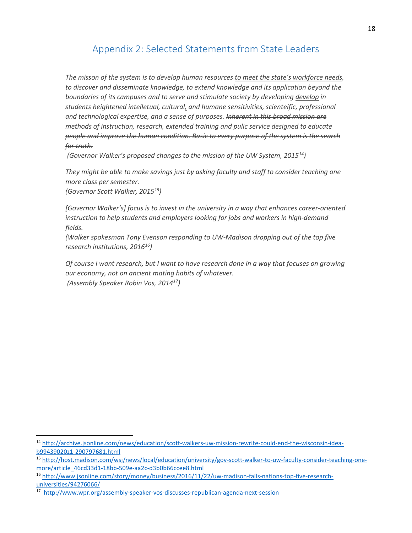### Appendix 2: Selected Statements from State Leaders

*The misson of the system is to develop human resources to meet the state's workforce needs, to discover and disseminate knowledge, to extend knowledge and its application beyond the boundaries of its campuses and to serve and stimulate society by developing develop in students heightened intelletual, cultural, and humane sensitivities, scienteific, professional and technological expertise, and a sense of purposes. Inherent in this broad mission are methods of instruction, research, extended training and pulic service designed to educate people and improve the human condition. Basic to every purpose of the system is the search for truth.*

*(Governor Walker's proposed changes to the mission of the UW System, 2015[14\)](#page-17-0)*

*They might be able to make savings just by asking faculty and staff to consider teaching one more class per semester.*

*(Governor Scott Walker, 2015[15\)](#page-17-1)*

*[Governor Walker's] focus is to invest in the university in a way that enhances career-oriented instruction to help students and employers looking for jobs and workers in high-demand fields.*

*(Walker spokesman Tony Evenson responding to UW-Madison dropping out of the top five research institutions, 2016[16\)](#page-17-2)*

*Of course I want research, but I want to have research done in a way that focuses on growing our economy, not on ancient mating habits of whatever. (Assembly Speaker Robin Vos, 2014[17\)](#page-17-3)*

<span id="page-17-0"></span> <sup>14</sup> [http://archive.jsonline.com/news/education/scott-walkers-uw-mission-rewrite-could-end-the-wisconsin-idea](http://archive.jsonline.com/news/education/scott-walkers-uw-mission-rewrite-could-end-the-wisconsin-idea-b99439020z1-290797681.html)[b99439020z1-290797681.html](http://archive.jsonline.com/news/education/scott-walkers-uw-mission-rewrite-could-end-the-wisconsin-idea-b99439020z1-290797681.html)

<span id="page-17-1"></span><sup>15</sup> [http://host.madison.com/wsj/news/local/education/university/gov-scott-walker-to-uw-faculty-consider-teaching-one](http://host.madison.com/wsj/news/local/education/university/gov-scott-walker-to-uw-faculty-consider-teaching-one-more/article_46cd33d1-18bb-509e-aa2c-d3b0b66ccee8.html)[more/article\\_46cd33d1-18bb-509e-aa2c-d3b0b66ccee8.html](http://host.madison.com/wsj/news/local/education/university/gov-scott-walker-to-uw-faculty-consider-teaching-one-more/article_46cd33d1-18bb-509e-aa2c-d3b0b66ccee8.html)

<span id="page-17-2"></span><sup>16</sup> [http://www.jsonline.com/story/money/business/2016/11/22/uw-madison-falls-nations-top-five-research](http://www.jsonline.com/story/money/business/2016/11/22/uw-madison-falls-nations-top-five-research-universities/94276066/)[universities/94276066/](http://www.jsonline.com/story/money/business/2016/11/22/uw-madison-falls-nations-top-five-research-universities/94276066/)

<span id="page-17-3"></span><sup>17</sup> <http://www.wpr.org/assembly-speaker-vos-discusses-republican-agenda-next-session>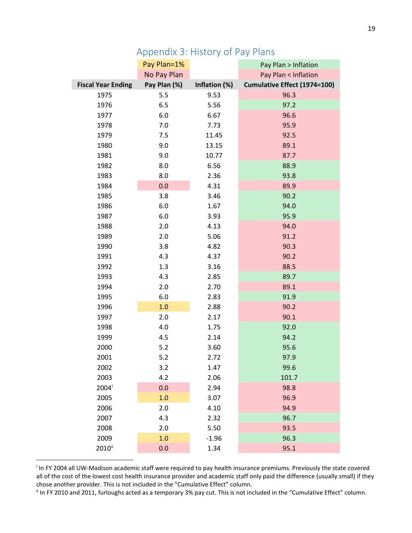|                           | Pay Plan=1%  |               | Pay Plan > Inflation         |  |
|---------------------------|--------------|---------------|------------------------------|--|
|                           | No Pay Plan  |               | Pay Plan < Inflation         |  |
| <b>Fiscal Year Ending</b> | Pay Plan (%) | Inflation (%) | Cumulative Effect (1974=100) |  |
| 1975                      | 5.5          | 9.53          | 96.3                         |  |
| 1976                      | 6.5          | 5.56          | 97.2                         |  |
| 1977                      | 6.0          | 6.67          | 96.6                         |  |
| 1978                      | 7.0          | 7.73          | 95.9                         |  |
| 1979                      | 7.5          | 11.45         | 92.5                         |  |
| 1980                      | 9.0          | 13.15         | 89.1                         |  |
| 1981                      | 9.0          | 10.77         | 87.7                         |  |
| 1982                      | 8.0          | 6.56          | 88.9                         |  |
| 1983                      | 8.0          | 2.36          | 93.8                         |  |
| 1984                      | 0.0          | 4.31          | 89.9                         |  |
| 1985                      | 3.8          | 3.46          | 90.2                         |  |
| 1986                      | 6.0          | 1.67          | 94.0                         |  |
| 1987                      | 6.0          | 3.93          | 95.9                         |  |
| 1988                      | 2.0          | 4.13          | 94.0                         |  |
| 1989                      | 2.0          | 5.06          | 91.2                         |  |
| 1990                      | 3.8          | 4.82          | 90.3                         |  |
| 1991                      | 4.3          | 4.37          | 90.2                         |  |
| 1992                      | 1.3          | 3.16          | 88.5                         |  |
| 1993                      | 4.3          | 2.85          | 89.7                         |  |
| 1994                      | 2.0          | 2.70          | 89.1                         |  |
| 1995                      | 6.0          | 2.83          | 91.9                         |  |
| 1996                      | 1.0          | 2.88          | 90.2                         |  |
| 1997                      | 2.0          | 2.17          | 90.1                         |  |
| 1998                      | 4.0          | 1.75          | 92.0                         |  |
| 1999                      | 4.5          | 2.14          | 94.2                         |  |
| 2000                      | 5.2          | 3.60          | 95.6                         |  |
| 2001                      | 5.2          | 2.72          | 97.9                         |  |
| 2002                      | 3.2          | 1.47          | 99.6                         |  |
| 2003                      | 4.2          | 2.06          | 101.7                        |  |
| 2004 <sup>i</sup>         | 0.0          | 2.94          | 98.8                         |  |
| 2005                      | 1.0          | 3.07          | 96.9                         |  |
| 2006                      | 2.0          | 4.10          | 94.9                         |  |
| 2007                      | 4.3          | 2.32          | 96.7                         |  |
| 2008                      | 2.0          | 5.50          | 93.5                         |  |
| 2009                      | 1.0          | $-1.96$       | 96.3                         |  |
| 2010 <sup>ii</sup>        | 0.0          | 1.34          | 95.1                         |  |

## Appendix 3: History of Pay Plans

<span id="page-18-0"></span><sup>i</sup> In FY 2004 all UW-Madison academic staff were required to pay health insurance premiums. Previously the state covered all of the cost of the lowest cost health insurance provider and academic staff only paid the difference (usually small) if they chose another provider. This is not included in the "Cumulative Effect" column.

<span id="page-18-1"></span><sup>ii</sup> In FY 2010 and 2011, furloughs acted as a temporary 3% pay cut. This is not included in the "Cumulative Effect" column.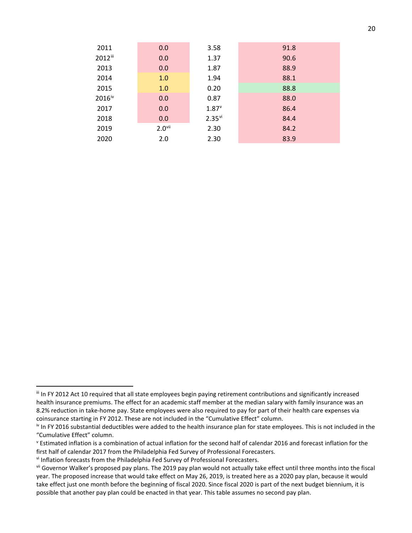| 2011               | 0.0                  | 3.58                 | 91.8 |
|--------------------|----------------------|----------------------|------|
| 2012iii            | 0.0                  | 1.37                 | 90.6 |
| 2013               | 0.0                  | 1.87                 | 88.9 |
| 2014               | 1.0                  | 1.94                 | 88.1 |
| 2015               | 1.0                  | 0.20                 | 88.8 |
| 2016 <sup>iv</sup> | 0.0                  | 0.87                 | 88.0 |
| 2017               | 0.0                  | $1.87^v$             | 86.4 |
| 2018               | 0.0                  | $2.35$ <sup>vi</sup> | 84.4 |
| 2019               | $2.0$ <sup>vii</sup> | 2.30                 | 84.2 |
| 2020               | 2.0                  | 2.30                 | 83.9 |

<span id="page-19-0"></span>iii In FY 2012 Act 10 required that all state employees begin paying retirement contributions and significantly increased health insurance premiums. The effect for an academic staff member at the median salary with family insurance was an 8.2% reduction in take-home pay. State employees were also required to pay for part of their health care expenses via coinsurance starting in FY 2012. These are not included in the "Cumulative Effect" column.

<span id="page-19-1"></span>iv In FY 2016 substantial deductibles were added to the health insurance plan for state employees. This is not included in the "Cumulative Effect" column.

<span id="page-19-2"></span><sup>v</sup> Estimated inflation is a combination of actual inflation for the second half of calendar 2016 and forecast inflation for the first half of calendar 2017 from the Philadelphia Fed Survey of Professional Forecasters.

<span id="page-19-3"></span>vi Inflation forecasts from the Philadelphia Fed Survey of Professional Forecasters.

<span id="page-19-4"></span>vii Governor Walker's proposed pay plans. The 2019 pay plan would not actually take effect until three months into the fiscal year. The proposed increase that would take effect on May 26, 2019, is treated here as a 2020 pay plan, because it would take effect just one month before the beginning of fiscal 2020. Since fiscal 2020 is part of the next budget biennium, it is possible that another pay plan could be enacted in that year. This table assumes no second pay plan.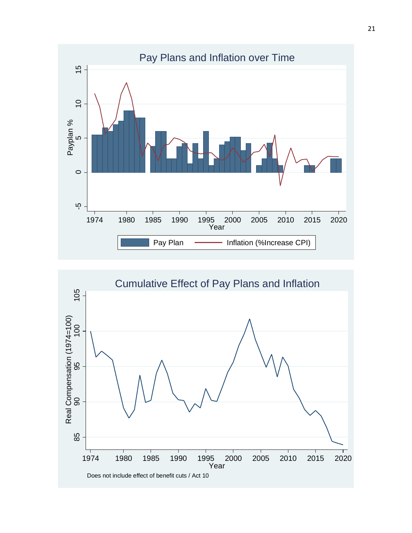